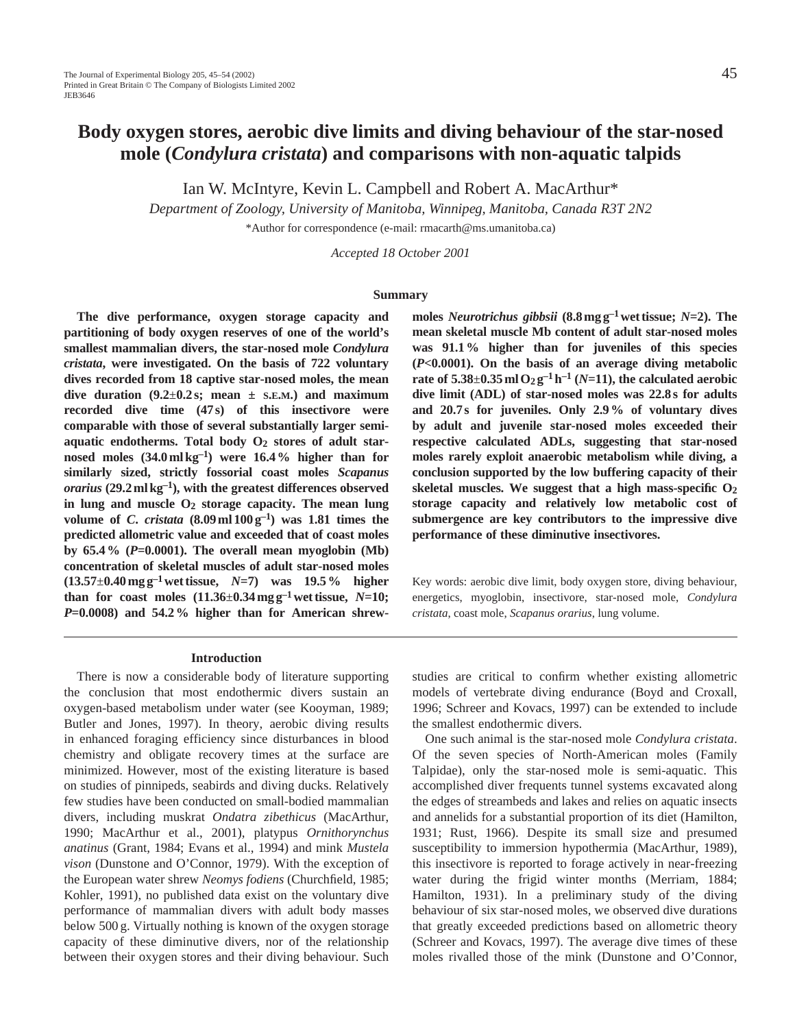# **Body oxygen stores, aerobic dive limits and diving behaviour of the star-nosed mole (***Condylura cristata***) and comparisons with non-aquatic talpids**

Ian W. McIntyre, Kevin L. Campbell and Robert A. MacArthur\*

*Department of Zoology, University of Manitoba, Winnipeg, Manitoba, Canada R3T 2N2*

\*Author for correspondence (e-mail: rmacarth@ms.umanitoba.ca)

*Accepted 18 October 2001*

#### **Summary**

**The dive performance, oxygen storage capacity and partitioning of body oxygen reserves of one of the world's smallest mammalian divers, the star-nosed mole** *Condylura cristata***, were investigated. On the basis of 722 voluntary dives recorded from 18 captive star-nosed moles, the mean** dive duration  $(9.2 \pm 0.2 \text{ s}; \text{ mean } \pm \text{ s.E.M.})$  and maximum **recorded dive time (47 s) of this insectivore were comparable with those of several substantially larger semiaquatic endotherms. Total body O2 stores of adult starnosed moles (34.0 ml kg–1) were 16.4 % higher than for similarly sized, strictly fossorial coast moles** *Scapanus orarius* **(29.2 ml kg–1), with the greatest differences observed in lung and muscle O2 storage capacity. The mean lung** volume of *C*. *cristata*  $(8.09 \text{ ml } 100 \text{ g}^{-1})$  was 1.81 times the **predicted allometric value and exceeded that of coast moles by 65.4 % (***P***=0.0001). The overall mean myoglobin (Mb) concentration of skeletal muscles of adult star-nosed moles (13.57**±**0.40 mg g–1wet tissue,** *N***=7) was 19.5 % higher than for coast moles**  $(11.36 \pm 0.34 \,\text{mgg}^{-1})$  wet tissue,  $N=10$ ; *P***=0.0008) and 54.2 % higher than for American shrew-**

#### **Introduction**

There is now a considerable body of literature supporting the conclusion that most endothermic divers sustain an oxygen-based metabolism under water (see Kooyman, 1989; Butler and Jones, 1997). In theory, aerobic diving results in enhanced foraging efficiency since disturbances in blood chemistry and obligate recovery times at the surface are minimized. However, most of the existing literature is based on studies of pinnipeds, seabirds and diving ducks. Relatively few studies have been conducted on small-bodied mammalian divers, including muskrat *Ondatra zibethicus* (MacArthur, 1990; MacArthur et al., 2001), platypus *Ornithorynchus anatinus* (Grant, 1984; Evans et al., 1994) and mink *Mustela vison* (Dunstone and O'Connor, 1979). With the exception of the European water shrew *Neomys fodiens* (Churchfield, 1985; Kohler, 1991), no published data exist on the voluntary dive performance of mammalian divers with adult body masses below 500 g. Virtually nothing is known of the oxygen storage capacity of these diminutive divers, nor of the relationship between their oxygen stores and their diving behaviour. Such

**moles** *Neurotrichus gibbsii* **(8.8 mg g–1wet tissue;** *N***=2). The mean skeletal muscle Mb content of adult star-nosed moles was 91.1 % higher than for juveniles of this species (***P***<0.0001). On the basis of an average diving metabolic rate of 5.38** $\pm$ **0.35 ml**  $O_2$   $g^{-1}$   $h^{-1}$  (*N*=11), the calculated aerobic **dive limit (ADL) of star-nosed moles was 22.8 s for adults and 20.7 s for juveniles. Only 2.9 % of voluntary dives by adult and juvenile star-nosed moles exceeded their respective calculated ADLs, suggesting that star-nosed moles rarely exploit anaerobic metabolism while diving, a conclusion supported by the low buffering capacity of their skeletal muscles. We suggest that a high mass-specific O2 storage capacity and relatively low metabolic cost of submergence are key contributors to the impressive dive performance of these diminutive insectivores.**

Key words: aerobic dive limit, body oxygen store, diving behaviour, energetics, myoglobin, insectivore, star-nosed mole, *Condylura cristata*, coast mole, *Scapanus orarius*, lung volume.

studies are critical to confirm whether existing allometric models of vertebrate diving endurance (Boyd and Croxall, 1996; Schreer and Kovacs, 1997) can be extended to include the smallest endothermic divers.

One such animal is the star-nosed mole *Condylura cristata*. Of the seven species of North-American moles (Family Talpidae), only the star-nosed mole is semi-aquatic. This accomplished diver frequents tunnel systems excavated along the edges of streambeds and lakes and relies on aquatic insects and annelids for a substantial proportion of its diet (Hamilton, 1931; Rust, 1966). Despite its small size and presumed susceptibility to immersion hypothermia (MacArthur, 1989), this insectivore is reported to forage actively in near-freezing water during the frigid winter months (Merriam, 1884; Hamilton, 1931). In a preliminary study of the diving behaviour of six star-nosed moles, we observed dive durations that greatly exceeded predictions based on allometric theory (Schreer and Kovacs, 1997). The average dive times of these moles rivalled those of the mink (Dunstone and O'Connor,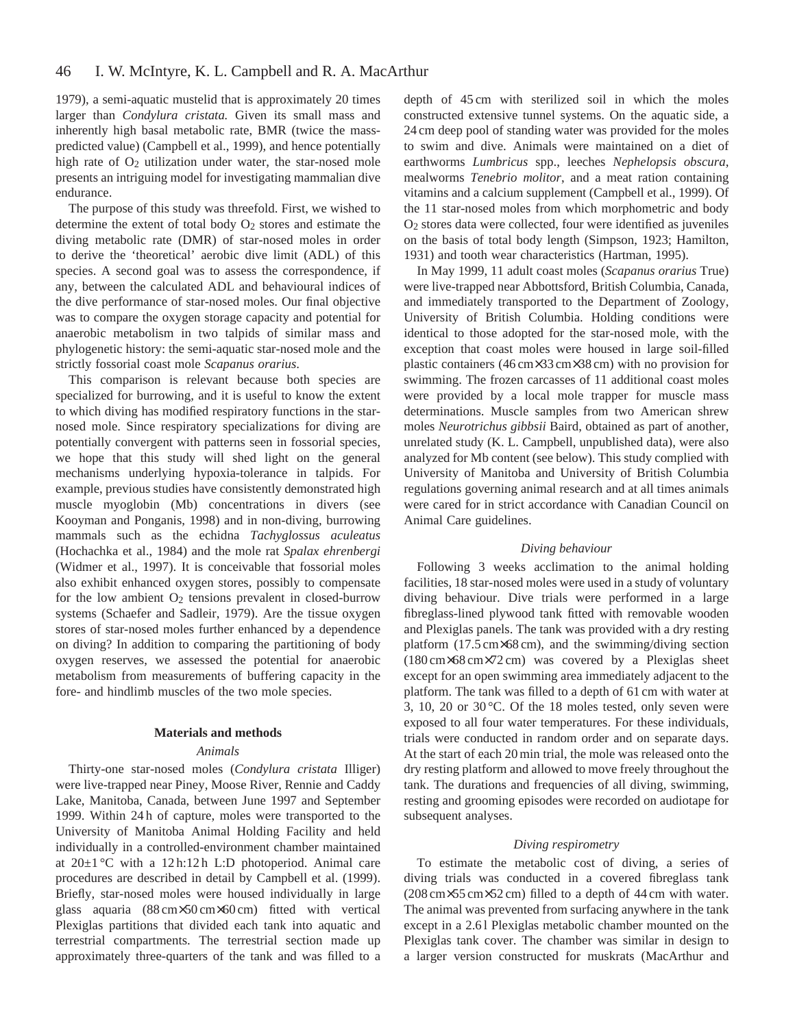1979), a semi-aquatic mustelid that is approximately 20 times larger than *Condylura cristata.* Given its small mass and inherently high basal metabolic rate, BMR (twice the masspredicted value) (Campbell et al., 1999), and hence potentially high rate of  $O<sub>2</sub>$  utilization under water, the star-nosed mole presents an intriguing model for investigating mammalian dive endurance.

The purpose of this study was threefold. First, we wished to determine the extent of total body  $O<sub>2</sub>$  stores and estimate the diving metabolic rate (DMR) of star-nosed moles in order to derive the 'theoretical' aerobic dive limit (ADL) of this species. A second goal was to assess the correspondence, if any, between the calculated ADL and behavioural indices of the dive performance of star-nosed moles. Our final objective was to compare the oxygen storage capacity and potential for anaerobic metabolism in two talpids of similar mass and phylogenetic history: the semi-aquatic star-nosed mole and the strictly fossorial coast mole *Scapanus orarius*.

This comparison is relevant because both species are specialized for burrowing, and it is useful to know the extent to which diving has modified respiratory functions in the starnosed mole. Since respiratory specializations for diving are potentially convergent with patterns seen in fossorial species, we hope that this study will shed light on the general mechanisms underlying hypoxia-tolerance in talpids. For example, previous studies have consistently demonstrated high muscle myoglobin (Mb) concentrations in divers (see Kooyman and Ponganis, 1998) and in non-diving, burrowing mammals such as the echidna *Tachyglossus aculeatus* (Hochachka et al., 1984) and the mole rat *Spalax ehrenbergi* (Widmer et al., 1997). It is conceivable that fossorial moles also exhibit enhanced oxygen stores, possibly to compensate for the low ambient  $O_2$  tensions prevalent in closed-burrow systems (Schaefer and Sadleir, 1979). Are the tissue oxygen stores of star-nosed moles further enhanced by a dependence on diving? In addition to comparing the partitioning of body oxygen reserves, we assessed the potential for anaerobic metabolism from measurements of buffering capacity in the fore- and hindlimb muscles of the two mole species.

## **Materials and methods**

# *Animals*

Thirty-one star-nosed moles (*Condylura cristata* Illiger) were live-trapped near Piney, Moose River, Rennie and Caddy Lake, Manitoba, Canada, between June 1997 and September 1999. Within 24 h of capture, moles were transported to the University of Manitoba Animal Holding Facility and held individually in a controlled-environment chamber maintained at  $20 \pm 1$  °C with a 12 h:12 h L:D photoperiod. Animal care procedures are described in detail by Campbell et al. (1999). Briefly, star-nosed moles were housed individually in large glass aquaria (88 cm×50 cm×60 cm) fitted with vertical Plexiglas partitions that divided each tank into aquatic and terrestrial compartments. The terrestrial section made up approximately three-quarters of the tank and was filled to a

depth of 45 cm with sterilized soil in which the moles constructed extensive tunnel systems. On the aquatic side, a 24 cm deep pool of standing water was provided for the moles to swim and dive. Animals were maintained on a diet of earthworms *Lumbricus* spp., leeches *Nephelopsis obscura*, mealworms *Tenebrio molitor*, and a meat ration containing vitamins and a calcium supplement (Campbell et al., 1999). Of the 11 star-nosed moles from which morphometric and body O2 stores data were collected, four were identified as juveniles on the basis of total body length (Simpson, 1923; Hamilton, 1931) and tooth wear characteristics (Hartman, 1995).

In May 1999, 11 adult coast moles (*Scapanus orarius* True) were live-trapped near Abbottsford, British Columbia, Canada, and immediately transported to the Department of Zoology, University of British Columbia. Holding conditions were identical to those adopted for the star-nosed mole, with the exception that coast moles were housed in large soil-filled plastic containers (46 cm×33 cm×38 cm) with no provision for swimming. The frozen carcasses of 11 additional coast moles were provided by a local mole trapper for muscle mass determinations. Muscle samples from two American shrew moles *Neurotrichus gibbsii* Baird, obtained as part of another, unrelated study (K. L. Campbell, unpublished data), were also analyzed for Mb content (see below). This study complied with University of Manitoba and University of British Columbia regulations governing animal research and at all times animals were cared for in strict accordance with Canadian Council on Animal Care guidelines.

#### *Diving behaviour*

Following 3 weeks acclimation to the animal holding facilities, 18 star-nosed moles were used in a study of voluntary diving behaviour. Dive trials were performed in a large fibreglass-lined plywood tank fitted with removable wooden and Plexiglas panels. The tank was provided with a dry resting platform (17.5 cm×68 cm), and the swimming/diving section (180 cm×68 cm×72 cm) was covered by a Plexiglas sheet except for an open swimming area immediately adjacent to the platform. The tank was filled to a depth of 61 cm with water at 3, 10, 20 or 30 °C. Of the 18 moles tested, only seven were exposed to all four water temperatures. For these individuals, trials were conducted in random order and on separate days. At the start of each 20 min trial, the mole was released onto the dry resting platform and allowed to move freely throughout the tank. The durations and frequencies of all diving, swimming, resting and grooming episodes were recorded on audiotape for subsequent analyses.

## *Diving respirometry*

To estimate the metabolic cost of diving, a series of diving trials was conducted in a covered fibreglass tank (208 cm×55 cm×52 cm) filled to a depth of 44 cm with water. The animal was prevented from surfacing anywhere in the tank except in a 2.6 l Plexiglas metabolic chamber mounted on the Plexiglas tank cover. The chamber was similar in design to a larger version constructed for muskrats (MacArthur and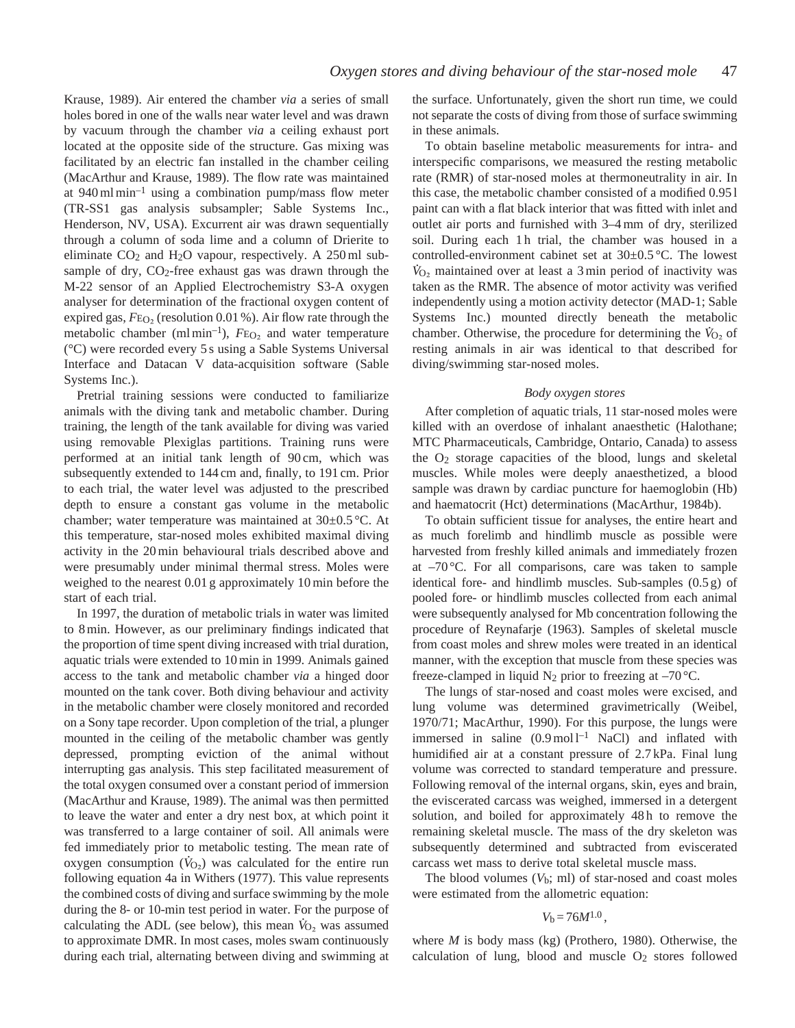Krause, 1989). Air entered the chamber *via* a series of small holes bored in one of the walls near water level and was drawn by vacuum through the chamber *via* a ceiling exhaust port located at the opposite side of the structure. Gas mixing was facilitated by an electric fan installed in the chamber ceiling (MacArthur and Krause, 1989). The flow rate was maintained at  $940 \,\mathrm{ml\,min^{-1}}$  using a combination pump/mass flow meter (TR-SS1 gas analysis subsampler; Sable Systems Inc., Henderson, NV, USA). Excurrent air was drawn sequentially through a column of soda lime and a column of Drierite to eliminate CO<sub>2</sub> and H<sub>2</sub>O vapour, respectively. A 250 ml subsample of dry, CO<sub>2</sub>-free exhaust gas was drawn through the M-22 sensor of an Applied Electrochemistry S3-A oxygen analyser for determination of the fractional oxygen content of expired gas,  $F_{\text{EO}_2}$  (resolution 0.01 %). Air flow rate through the metabolic chamber (ml min<sup>-1</sup>),  $F_{E_0}$  and water temperature (°C) were recorded every 5 s using a Sable Systems Universal Interface and Datacan V data-acquisition software (Sable Systems Inc.).

Pretrial training sessions were conducted to familiarize animals with the diving tank and metabolic chamber. During training, the length of the tank available for diving was varied using removable Plexiglas partitions. Training runs were performed at an initial tank length of 90 cm, which was subsequently extended to 144 cm and, finally, to 191 cm. Prior to each trial, the water level was adjusted to the prescribed depth to ensure a constant gas volume in the metabolic chamber; water temperature was maintained at 30±0.5 °C. At this temperature, star-nosed moles exhibited maximal diving activity in the 20 min behavioural trials described above and were presumably under minimal thermal stress. Moles were weighed to the nearest 0.01 g approximately 10 min before the start of each trial.

In 1997, the duration of metabolic trials in water was limited to 8 min. However, as our preliminary findings indicated that the proportion of time spent diving increased with trial duration, aquatic trials were extended to 10 min in 1999. Animals gained access to the tank and metabolic chamber *via* a hinged door mounted on the tank cover. Both diving behaviour and activity in the metabolic chamber were closely monitored and recorded on a Sony tape recorder. Upon completion of the trial, a plunger mounted in the ceiling of the metabolic chamber was gently depressed, prompting eviction of the animal without interrupting gas analysis. This step facilitated measurement of the total oxygen consumed over a constant period of immersion (MacArthur and Krause, 1989). The animal was then permitted to leave the water and enter a dry nest box, at which point it was transferred to a large container of soil. All animals were fed immediately prior to metabolic testing. The mean rate of . oxygen consumption  $(\dot{V}_{O_2})$  was calculated for the entire run following equation 4a in Withers (1977). This value represents the combined costs of diving and surface swimming by the mole during the 8- or 10-min test period in water. For the purpose of calculating the ADL (see below), this mean  $\dot{V}_{O_2}$  was assumed to approximate DMR. In most cases, moles swam continuously during each trial, alternating between diving and swimming at the surface. Unfortunately, given the short run time, we could not separate the costs of diving from those of surface swimming in these animals.

To obtain baseline metabolic measurements for intra- and interspecific comparisons, we measured the resting metabolic rate (RMR) of star-nosed moles at thermoneutrality in air. In this case, the metabolic chamber consisted of a modified 0.95 l paint can with a flat black interior that was fitted with inlet and outlet air ports and furnished with 3–4 mm of dry, sterilized soil. During each 1h trial, the chamber was housed in a controlled-environment cabinet set at 30±0.5 °C. The lowest .  $\dot{V}_{O_2}$  maintained over at least a 3 min period of inactivity was taken as the RMR. The absence of motor activity was verified independently using a motion activity detector (MAD-1; Sable Systems Inc.) mounted directly beneath the metabolic chamber. Otherwise, the procedure for determining the  $\dot{V}_{O_2}$  of resting animals in air was identical to that described for diving/swimming star-nosed moles.

#### *Body oxygen stores*

After completion of aquatic trials, 11 star-nosed moles were killed with an overdose of inhalant anaesthetic (Halothane; MTC Pharmaceuticals, Cambridge, Ontario, Canada) to assess the  $O_2$  storage capacities of the blood, lungs and skeletal muscles. While moles were deeply anaesthetized, a blood sample was drawn by cardiac puncture for haemoglobin (Hb) and haematocrit (Hct) determinations (MacArthur, 1984b).

To obtain sufficient tissue for analyses, the entire heart and as much forelimb and hindlimb muscle as possible were harvested from freshly killed animals and immediately frozen at  $-70^{\circ}$ C. For all comparisons, care was taken to sample identical fore- and hindlimb muscles. Sub-samples (0.5 g) of pooled fore- or hindlimb muscles collected from each animal were subsequently analysed for Mb concentration following the procedure of Reynafarje (1963). Samples of skeletal muscle from coast moles and shrew moles were treated in an identical manner, with the exception that muscle from these species was freeze-clamped in liquid  $N_2$  prior to freezing at  $-70^{\circ}$ C.

The lungs of star-nosed and coast moles were excised, and lung volume was determined gravimetrically (Weibel, 1970/71; MacArthur, 1990). For this purpose, the lungs were immersed in saline  $(0.9 \text{ mol}^{-1} \text{ NaCl})$  and inflated with humidified air at a constant pressure of 2.7 kPa. Final lung volume was corrected to standard temperature and pressure. Following removal of the internal organs, skin, eyes and brain, the eviscerated carcass was weighed, immersed in a detergent solution, and boiled for approximately 48 h to remove the remaining skeletal muscle. The mass of the dry skeleton was subsequently determined and subtracted from eviscerated carcass wet mass to derive total skeletal muscle mass.

The blood volumes  $(V_b; \text{ml})$  of star-nosed and coast moles were estimated from the allometric equation:

$$
V_{\rm b}=76M^{1.0}\,,
$$

where *M* is body mass (kg) (Prothero, 1980). Otherwise, the calculation of lung, blood and muscle  $O<sub>2</sub>$  stores followed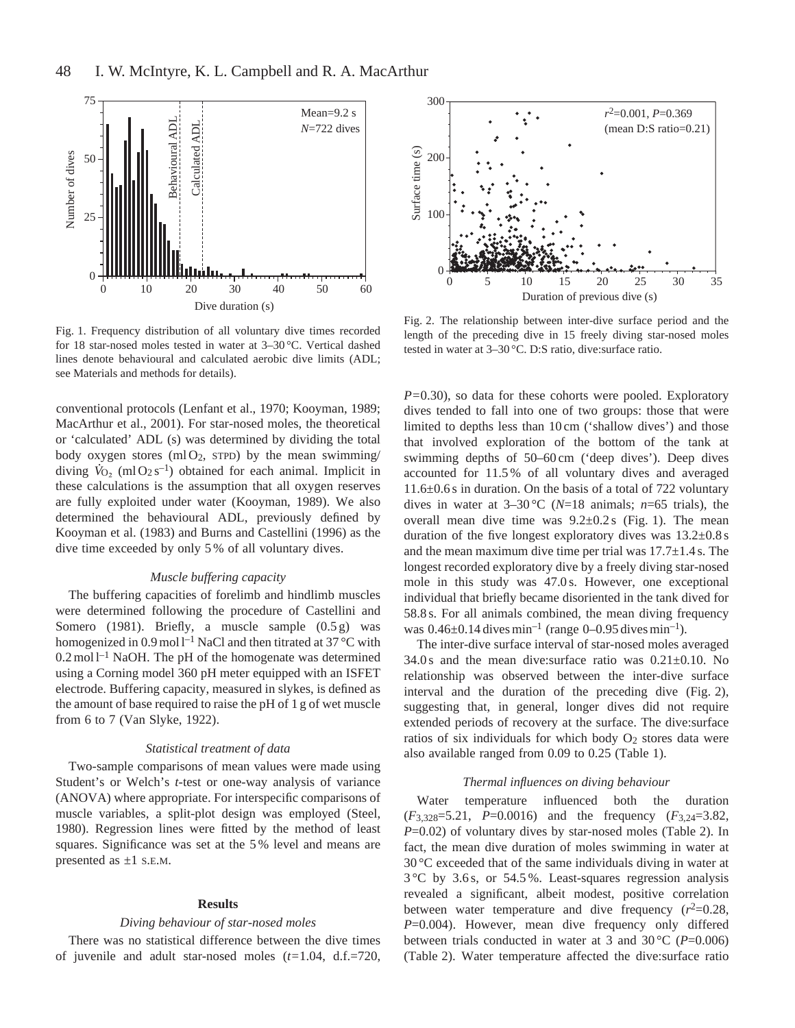

Fig. 1. Frequency distribution of all voluntary dive times recorded for 18 star-nosed moles tested in water at 3–30 °C. Vertical dashed lines denote behavioural and calculated aerobic dive limits (ADL; see Materials and methods for details).

conventional protocols (Lenfant et al., 1970; Kooyman, 1989; MacArthur et al., 2001). For star-nosed moles, the theoretical or 'calculated' ADL (s) was determined by dividing the total body oxygen stores (ml O<sub>2</sub>, STPD) by the mean swimming/ diving  $\hat{V}_{O_2}$  (ml O<sub>2</sub> s<sup>-1</sup>) obtained for each animal. Implicit in these calculations is the assumption that all oxygen reserves are fully exploited under water (Kooyman, 1989). We also determined the behavioural ADL, previously defined by Kooyman et al. (1983) and Burns and Castellini (1996) as the dive time exceeded by only 5 % of all voluntary dives.

# *Muscle buffering capacity*

The buffering capacities of forelimb and hindlimb muscles were determined following the procedure of Castellini and Somero (1981). Briefly, a muscle sample (0.5 g) was homogenized in 0.9 mol  $l^{-1}$  NaCl and then titrated at 37 °C with  $0.2 \text{ mol}$ <sup>-1</sup> NaOH. The pH of the homogenate was determined using a Corning model 360 pH meter equipped with an ISFET electrode. Buffering capacity, measured in slykes, is defined as the amount of base required to raise the pH of 1 g of wet muscle from 6 to 7 (Van Slyke, 1922).

#### *Statistical treatment of data*

Two-sample comparisons of mean values were made using Student's or Welch's *t*-test or one-way analysis of variance (ANOVA) where appropriate. For interspecific comparisons of muscle variables, a split-plot design was employed (Steel, 1980). Regression lines were fitted by the method of least squares. Significance was set at the 5 % level and means are presented as  $\pm 1$  S.E.M.

#### **Results**

## *Diving behaviour of star-nosed moles*

There was no statistical difference between the dive times of juvenile and adult star-nosed moles (*t=*1.04, d.f.=720,



Fig. 2. The relationship between inter-dive surface period and the length of the preceding dive in 15 freely diving star-nosed moles tested in water at 3–30 °C. D:S ratio, dive:surface ratio.

*P=*0.30), so data for these cohorts were pooled. Exploratory dives tended to fall into one of two groups: those that were limited to depths less than 10 cm ('shallow dives') and those that involved exploration of the bottom of the tank at swimming depths of 50–60 cm ('deep dives'). Deep dives accounted for 11.5 % of all voluntary dives and averaged 11.6±0.6 s in duration. On the basis of a total of 722 voluntary dives in water at 3–30 °C (*N*=18 animals; *n*=65 trials), the overall mean dive time was  $9.2 \pm 0.2$  s (Fig. 1). The mean duration of the five longest exploratory dives was 13.2±0.8 s and the mean maximum dive time per trial was  $17.7\pm1.4$  s. The longest recorded exploratory dive by a freely diving star-nosed mole in this study was 47.0 s. However, one exceptional individual that briefly became disoriented in the tank dived for 58.8 s. For all animals combined, the mean diving frequency was  $0.46 \pm 0.14$  dives min<sup>-1</sup> (range 0-0.95 dives min<sup>-1</sup>).

The inter-dive surface interval of star-nosed moles averaged 34.0 s and the mean dive: surface ratio was  $0.21 \pm 0.10$ . No relationship was observed between the inter-dive surface interval and the duration of the preceding dive (Fig. 2), suggesting that, in general, longer dives did not require extended periods of recovery at the surface. The dive:surface ratios of six individuals for which body  $O<sub>2</sub>$  stores data were also available ranged from 0.09 to 0.25 (Table 1).

## *Thermal influences on diving behaviour*

Water temperature influenced both the duration (*F*3,328=5.21, *P*=0.0016) and the frequency (*F*3,24=3.82, *P*=0.02) of voluntary dives by star-nosed moles (Table 2). In fact, the mean dive duration of moles swimming in water at 30 °C exceeded that of the same individuals diving in water at 3 °C by 3.6 s, or 54.5 %. Least-squares regression analysis revealed a significant, albeit modest, positive correlation between water temperature and dive frequency  $(r^2=0.28,$ *P*=0.004). However, mean dive frequency only differed between trials conducted in water at 3 and 30 °C (*P*=0.006) (Table 2). Water temperature affected the dive:surface ratio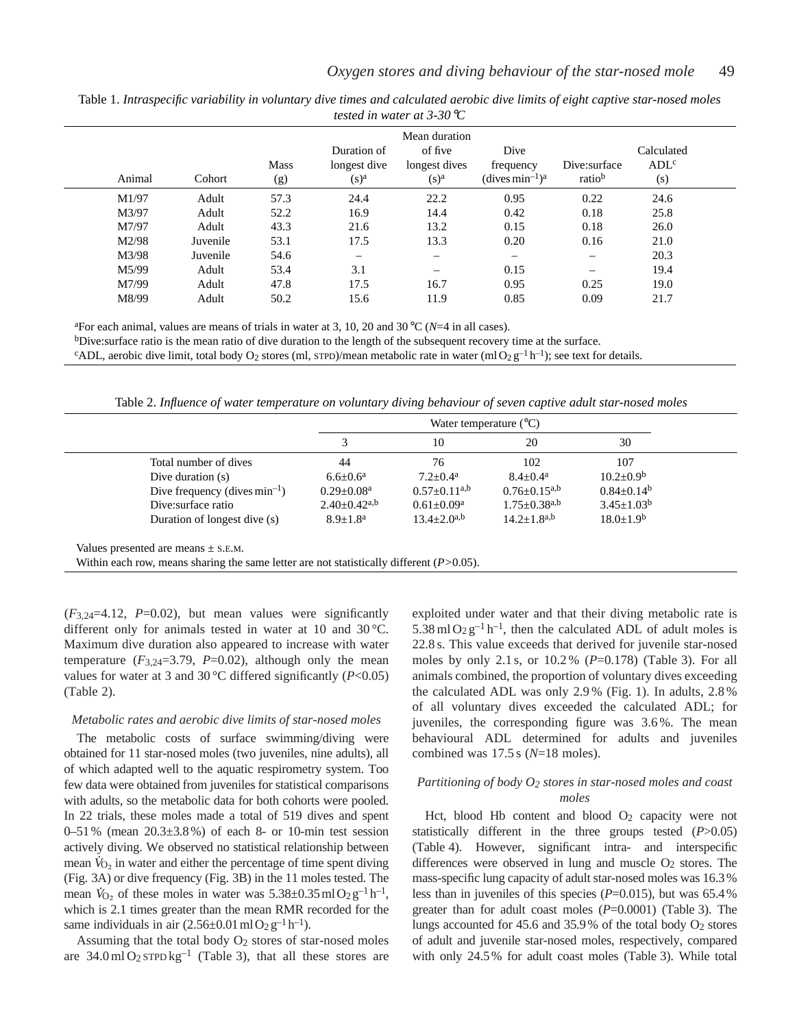| Mean duration<br>of five<br>Dive<br>Calculated<br>Duration of |          |      |                  |                          |                                  |              |                  |  |
|---------------------------------------------------------------|----------|------|------------------|--------------------------|----------------------------------|--------------|------------------|--|
|                                                               |          | Mass | longest dive     | longest dives            | frequency                        | Dive:surface | ADL <sup>c</sup> |  |
| Animal                                                        | Cohort   | (g)  | (s) <sup>a</sup> | (s) <sup>a</sup>         | (dives $min^{-1}$ ) <sup>a</sup> | ratiob       | (s)              |  |
| M1/97                                                         | Adult    | 57.3 | 24.4             | 22.2                     | 0.95                             | 0.22         | 24.6             |  |
| M3/97                                                         | Adult    | 52.2 | 16.9             | 14.4                     | 0.42                             | 0.18         | 25.8             |  |
| M7/97                                                         | Adult    | 43.3 | 21.6             | 13.2                     | 0.15                             | 0.18         | 26.0             |  |
| M2/98                                                         | Juvenile | 53.1 | 17.5             | 13.3                     | 0.20                             | 0.16         | 21.0             |  |
| M3/98                                                         | Juvenile | 54.6 |                  | $\overline{\phantom{0}}$ | —                                |              | 20.3             |  |
| M5/99                                                         | Adult    | 53.4 | 3.1              |                          | 0.15                             |              | 19.4             |  |
| M7/99                                                         | Adult    | 47.8 | 17.5             | 16.7                     | 0.95                             | 0.25         | 19.0             |  |
| M8/99                                                         | Adult    | 50.2 | 15.6             | 11.9                     | 0.85                             | 0.09         | 21.7             |  |

Table 1. *Intraspecific variability in voluntary dive times and calculated aerobic dive limits of eight captive star-nosed moles tested in water at 3-30*°*C*

<sup>a</sup>For each animal, values are means of trials in water at 3, 10, 20 and 30 °C ( $N=4$  in all cases).

bDive:surface ratio is the mean ratio of dive duration to the length of the subsequent recovery time at the surface.

<sup>c</sup>ADL, aerobic dive limit, total body  $O_2$  stores (ml, strpp)/mean metabolic rate in water (ml  $O_2 g^{-1} h^{-1}$ ); see text for details.

Table 2. *Influence of water temperature on voluntary diving behaviour of seven captive adult star-nosed moles*

|                                    |                                | Water temperature $(^{\circ}C)$ |                                |                        |  |
|------------------------------------|--------------------------------|---------------------------------|--------------------------------|------------------------|--|
|                                    |                                | 10                              | 20                             | 30                     |  |
| Total number of dives              | 44                             | 76                              | 102                            | 107                    |  |
| Dive duration $(s)$                | $6.6 \pm 0.6^{\rm a}$          | $7.2 + 0.4^a$                   | $8.4 + 0.4^a$                  | $10.2 \pm 0.9^{\rm b}$ |  |
| Dive frequency (dives $min^{-1}$ ) | $0.29 \pm 0.08^{\text{a}}$     | $0.57+0.11^{a,b}$               | $0.76 + 0.15^{a,b}$            | $0.84 \pm 0.14^b$      |  |
| Dive: surface ratio                | $2.40 \pm 0.42$ <sup>a,b</sup> | $0.61 \pm 0.09^a$               | $1.75 \pm 0.38$ <sup>a,b</sup> | $3.45 \pm 1.03^b$      |  |
| Duration of longest dive (s)       | $8.9 + 1.8^a$                  | $13.4+2.0^{a,b}$                | $14.2+1.8^{a,b}$               | $18.0 \pm 1.9^b$       |  |

 $(F_{3,24}=4.12, P=0.02)$ , but mean values were significantly different only for animals tested in water at 10 and 30 °C. Maximum dive duration also appeared to increase with water temperature  $(F_{3,24}=3.79, P=0.02)$ , although only the mean values for water at 3 and 30 °C differed significantly  $(P<0.05)$ 

## *Metabolic rates and aerobic dive limits of star-nosed moles*

(Table 2).

The metabolic costs of surface swimming/diving were obtained for 11 star-nosed moles (two juveniles, nine adults), all of which adapted well to the aquatic respirometry system. Too few data were obtained from juveniles for statistical comparisons with adults, so the metabolic data for both cohorts were pooled. In 22 trials, these moles made a total of 519 dives and spent 0–51% (mean  $20.3\pm3.8$ %) of each 8- or 10-min test session actively diving. We observed no statistical relationship between . mean  $\hat{V}_{O_2}$  in water and either the percentage of time spent diving (Fig. 3A) or dive frequency (Fig. 3B) in the 11 moles tested. The mean  $\dot{V}_{\text{O}_2}$  of these moles in water was  $5.38 \pm 0.35 \,\text{m} \cdot \text{O}_2 \,\text{g}^{-1} \,\text{h}^{-1}$ , which is 2.1 times greater than the mean RMR recorded for the same individuals in air  $(2.56\pm0.01 \text{ ml } \text{O}_2 \text{ g}^{-1} \text{ h}^{-1})$ .

Assuming that the total body  $O<sub>2</sub>$  stores of star-nosed moles are  $34.0 \text{ ml} O_2$  strp kg<sup>-1</sup> (Table 3), that all these stores are

exploited under water and that their diving metabolic rate is 5.38 ml  $O_2$  g<sup>-1</sup> h<sup>-1</sup>, then the calculated ADL of adult moles is 22.8 s. This value exceeds that derived for juvenile star-nosed moles by only 2.1 s, or 10.2 % (*P*=0.178) (Table 3). For all animals combined, the proportion of voluntary dives exceeding the calculated ADL was only 2.9 % (Fig. 1). In adults, 2.8 % of all voluntary dives exceeded the calculated ADL; for juveniles, the corresponding figure was 3.6 %. The mean behavioural ADL determined for adults and juveniles combined was 17.5 s (*N*=18 moles).

# *Partitioning of body O2 stores in star-nosed moles and coast moles*

Hct, blood Hb content and blood  $O_2$  capacity were not statistically different in the three groups tested (*P*>0.05) (Table 4). However, significant intra- and interspecific differences were observed in lung and muscle  $O_2$  stores. The mass-specific lung capacity of adult star-nosed moles was 16.3% less than in juveniles of this species (*P*=0.015), but was 65.4% greater than for adult coast moles (*P*=0.0001) (Table 3). The lungs accounted for 45.6 and 35.9% of the total body O2 stores of adult and juvenile star-nosed moles, respectively, compared with only 24.5% for adult coast moles (Table 3). While total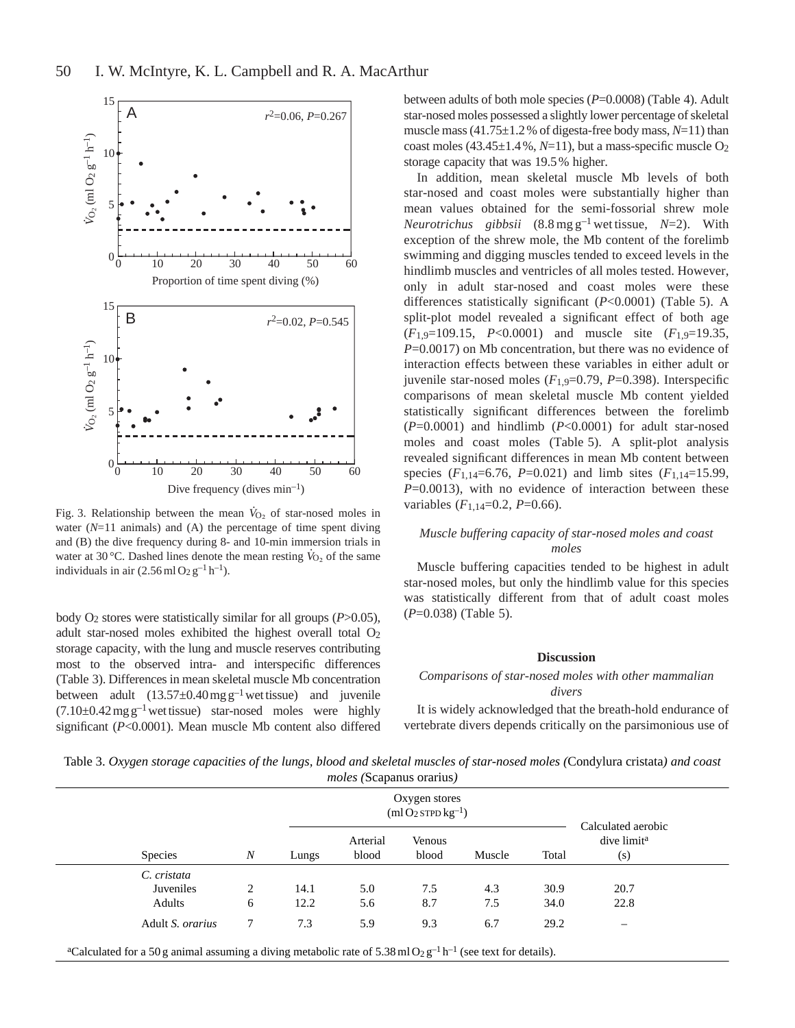

Fig. 3. Relationship between the mean  $\dot{V}_{\text{O}_2}$  of star-nosed moles in water (*N*=11 animals) and (A) the percentage of time spent diving and (B) the dive frequency during 8- and 10-min immersion trials in . water at 30 °C. Dashed lines denote the mean resting  $\dot{V}_{\text{O}_2}$  of the same individuals in air  $(2.56 \text{ ml } O_2 \text{ g}^{-1} \text{ h}^{-1})$ .

body O2 stores were statistically similar for all groups (*P*>0.05), adult star-nosed moles exhibited the highest overall total  $O<sub>2</sub>$ storage capacity, with the lung and muscle reserves contributing most to the observed intra- and interspecific differences (Table 3). Differences in mean skeletal muscle Mb concentration between adult  $(13.57 \pm 0.40 \,\mathrm{mg\,g^{-1}}$  wet tissue) and juvenile  $(7.10\pm0.42$  mg g<sup>-1</sup> wet tissue) star-nosed moles were highly significant (*P*<0.0001). Mean muscle Mb content also differed

between adults of both mole species (*P*=0.0008) (Table 4). Adult star-nosed moles possessed a slightly lower percentage of skeletal muscle mass (41.75±1.2% of digesta-free body mass, *N*=11) than coast moles  $(43.45\pm1.4\%, N=11)$ , but a mass-specific muscle O<sub>2</sub> storage capacity that was 19.5% higher.

In addition, mean skeletal muscle Mb levels of both star-nosed and coast moles were substantially higher than mean values obtained for the semi-fossorial shrew mole *Neurotrichus gibbsii* (8.8 mg g–1 wet tissue, *N*=2). With exception of the shrew mole, the Mb content of the forelimb swimming and digging muscles tended to exceed levels in the hindlimb muscles and ventricles of all moles tested. However, only in adult star-nosed and coast moles were these differences statistically significant (*P*<0.0001) (Table 5). A split-plot model revealed a significant effect of both age (*F*1,9=109.15, *P*<0.0001) and muscle site (*F*1,9=19.35, *P*=0.0017) on Mb concentration, but there was no evidence of interaction effects between these variables in either adult or juvenile star-nosed moles (*F*1,9=0.79, *P*=0.398). Interspecific comparisons of mean skeletal muscle Mb content yielded statistically significant differences between the forelimb (*P*=0.0001) and hindlimb (*P*<0.0001) for adult star-nosed moles and coast moles (Table 5). A split-plot analysis revealed significant differences in mean Mb content between species (*F*1,14=6.76, *P*=0.021) and limb sites (*F*1,14=15.99, *P*=0.0013), with no evidence of interaction between these variables (*F*1,14=0.2, *P*=0.66).

# *Muscle buffering capacity of star-nosed moles and coast moles*

Muscle buffering capacities tended to be highest in adult star-nosed moles, but only the hindlimb value for this species was statistically different from that of adult coast moles (*P*=0.038) (Table 5).

## **Discussion**

# *Comparisons of star-nosed moles with other mammalian divers*

It is widely acknowledged that the breath-hold endurance of vertebrate divers depends critically on the parsimonious use of

Table 3. *Oxygen storage capacities of the lungs, blood and skeletal muscles of star-nosed moles (*Condylura cristata*) and coast moles (*Scapanus orarius*)*

|                  |                  |       | Oxygen stores<br>$(m1O2$ STPD $kg-1$ ) |                 |        |       |                                                      |
|------------------|------------------|-------|----------------------------------------|-----------------|--------|-------|------------------------------------------------------|
| Species          | $\boldsymbol{N}$ | Lungs | Arterial<br>blood                      | Venous<br>blood | Muscle | Total | Calculated aerobic<br>dive limit <sup>a</sup><br>(s) |
| C. cristata      |                  |       |                                        |                 |        |       |                                                      |
| <b>Juveniles</b> | 2                | 14.1  | 5.0                                    | 7.5             | 4.3    | 30.9  | 20.7                                                 |
| Adults           | 6                | 12.2  | 5.6                                    | 8.7             | 7.5    | 34.0  | 22.8                                                 |
| Adult S. orarius |                  | 7.3   | 5.9                                    | 9.3             | 6.7    | 29.2  | —                                                    |

<sup>a</sup>Calculated for a 50 g animal assuming a diving metabolic rate of 5.38 ml O<sub>2</sub> g<sup>-1</sup> h<sup>-1</sup> (see text for details).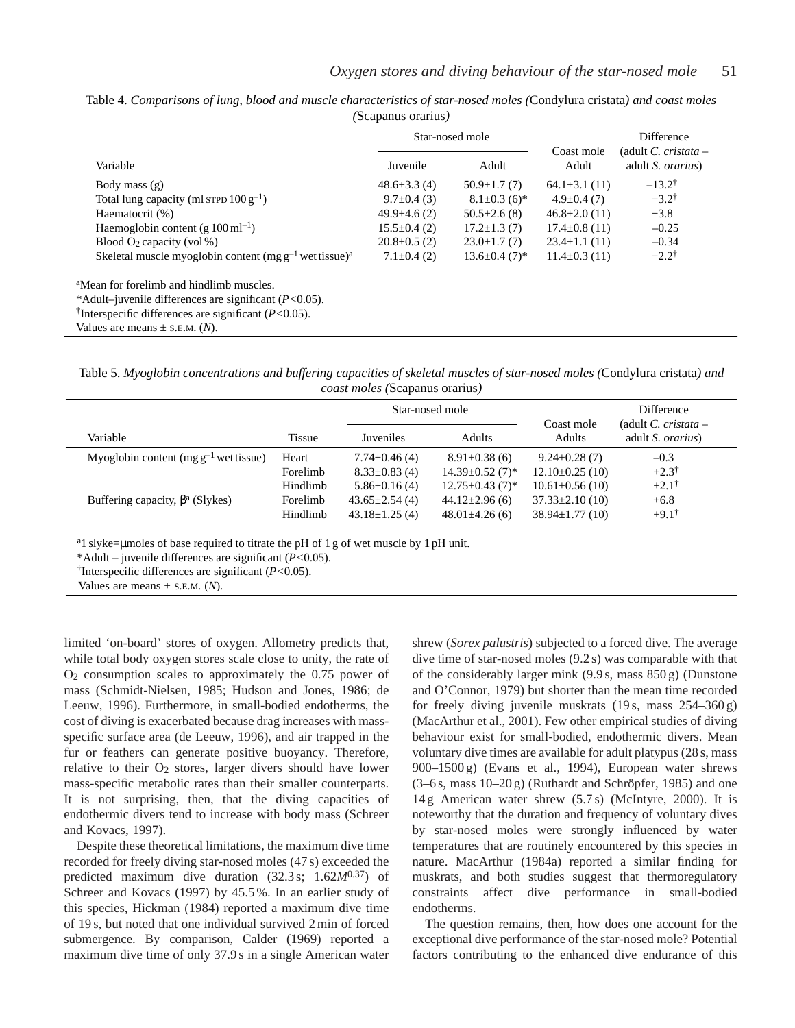|                                                                         |                    | Star-nosed mole                 | Coast mole          | Difference<br>(adult $C$ , cristata – |  |
|-------------------------------------------------------------------------|--------------------|---------------------------------|---------------------|---------------------------------------|--|
| Variable                                                                | Juvenile           | Adult                           | Adult               | adult <i>S. orarius</i> )             |  |
| Body mass $(g)$                                                         | $48.6 \pm 3.3(4)$  | $50.9 \pm 1.7(7)$               | $64.1 \pm 3.1(11)$  | $-13.2^{\dagger}$                     |  |
| Total lung capacity (ml strp $100 \text{ g}^{-1}$ )                     | $9.7 \pm 0.4$ (3)  | $8.1 \pm 0.3$ (6)*              | $4.9 \pm 0.4(7)$    | $+3.2^{\dagger}$                      |  |
| Haematocrit (%)                                                         | 49.9 $\pm$ 4.6 (2) | $50.5 \pm 2.6(8)$               | $46.8 \pm 2.0(11)$  | $+3.8$                                |  |
| Haemoglobin content (g $100 \text{ ml}^{-1}$ )                          | $15.5 \pm 0.4(2)$  | $17.2 \pm 1.3(7)$               | $17.4 \pm 0.8$ (11) | $-0.25$                               |  |
| Blood $O_2$ capacity (vol %)                                            | $20.8 \pm 0.5$ (2) | $23.0 \pm 1.7(7)$               | $23.4 \pm 1.1(11)$  | $-0.34$                               |  |
| Skeletal muscle myoglobin content $(mg g^{-1}$ wet tissue) <sup>a</sup> | $7.1 \pm 0.4$ (2)  | $13.6 \pm 0.4$ (7) <sup>*</sup> | $11.4\pm0.3(11)$    | $+2.2^{\dagger}$                      |  |
| <sup>a</sup> Mean for forelimb and hindlimb muscles.                    |                    |                                 |                     |                                       |  |
| *Adult-juvenile differences are significant $(P<0.05)$ .                |                    |                                 |                     |                                       |  |
| <sup>†</sup> Interspecific differences are significant $(P<0.05)$ .     |                    |                                 |                     |                                       |  |
| Values are means $\pm$ s.E.M. (N).                                      |                    |                                 |                     |                                       |  |

Table 4. *Comparisons of lung, blood and muscle characteristics of star-nosed moles (*Condylura cristata*) and coast moles (*Scapanus orarius*)* 

Table 5. *Myoglobin concentrations and buffering capacities of skeletal muscles of star-nosed moles (*Condylura cristata*) and coast moles (*Scapanus orarius*)*

|                                                   |          | Star-nosed mole      |                                   |                      | Difference                                          |  |
|---------------------------------------------------|----------|----------------------|-----------------------------------|----------------------|-----------------------------------------------------|--|
| Variable                                          | Tissue   | <b>Juveniles</b>     | <b>Adults</b>                     | Coast mole<br>Adults | (adult C. cristata $-$<br>adult <i>S. orarius</i> ) |  |
| Myoglobin content (mg $g^{-1}$ wet tissue)        | Heart    | $7.74 \pm 0.46$ (4)  | $8.91 \pm 0.38$ (6)               | $9.24 \pm 0.28$ (7)  | $-0.3$                                              |  |
|                                                   | Forelimb | $8.33 \pm 0.83$ (4)  | $14.39 \pm 0.52$ (7)*             | $12.10\pm0.25(10)$   | $+2.3^{\dagger}$                                    |  |
|                                                   | Hindlimb | $5.86 \pm 0.16$ (4)  | $12.75 \pm 0.43$ (7) <sup>*</sup> | $10.61 \pm 0.56(10)$ | $+2.1^{\dagger}$                                    |  |
| Buffering capacity, $\beta$ <sup>a</sup> (Slykes) | Forelimb | $43.65 \pm 2.54(4)$  | $44.12\pm2.96(6)$                 | $37.33 \pm 2.10(10)$ | $+6.8$                                              |  |
|                                                   | Hindlimb | $43.18 \pm 1.25$ (4) | $48.01\pm4.26(6)$                 | $38.94 \pm 1.77(10)$ | $+9.1^{\dagger}$                                    |  |

a1 slyke=µmoles of base required to titrate the pH of 1 g of wet muscle by 1 pH unit.

\*Adult – juvenile differences are significant (*P<*0.05).

†Interspecific differences are significant (*P<*0.05).

Values are means  $\pm$  s.E.M. (*N*).

limited 'on-board' stores of oxygen. Allometry predicts that, while total body oxygen stores scale close to unity, the rate of O2 consumption scales to approximately the 0.75 power of mass (Schmidt-Nielsen, 1985; Hudson and Jones, 1986; de Leeuw, 1996). Furthermore, in small-bodied endotherms, the cost of diving is exacerbated because drag increases with massspecific surface area (de Leeuw, 1996), and air trapped in the fur or feathers can generate positive buoyancy. Therefore, relative to their  $O_2$  stores, larger divers should have lower mass-specific metabolic rates than their smaller counterparts. It is not surprising, then, that the diving capacities of endothermic divers tend to increase with body mass (Schreer and Kovacs, 1997).

Despite these theoretical limitations, the maximum dive time recorded for freely diving star-nosed moles (47 s) exceeded the predicted maximum dive duration (32.3 s; 1.62 $M^{0.37}$ ) of Schreer and Kovacs (1997) by 45.5 %. In an earlier study of this species, Hickman (1984) reported a maximum dive time of 19 s, but noted that one individual survived 2 min of forced submergence. By comparison, Calder (1969) reported a maximum dive time of only 37.9 s in a single American water shrew (*Sorex palustris*) subjected to a forced dive. The average dive time of star-nosed moles (9.2 s) was comparable with that of the considerably larger mink (9.9 s, mass 850 g) (Dunstone and O'Connor, 1979) but shorter than the mean time recorded for freely diving juvenile muskrats (19 s, mass 254–360 g) (MacArthur et al., 2001). Few other empirical studies of diving behaviour exist for small-bodied, endothermic divers. Mean voluntary dive times are available for adult platypus (28 s, mass 900–1500 g) (Evans et al., 1994), European water shrews (3–6 s, mass 10–20 g) (Ruthardt and Schröpfer, 1985) and one 14 g American water shrew (5.7 s) (McIntyre, 2000). It is noteworthy that the duration and frequency of voluntary dives by star-nosed moles were strongly influenced by water temperatures that are routinely encountered by this species in nature. MacArthur (1984a) reported a similar finding for muskrats, and both studies suggest that thermoregulatory constraints affect dive performance in small-bodied endotherms.

The question remains, then, how does one account for the exceptional dive performance of the star-nosed mole? Potential factors contributing to the enhanced dive endurance of this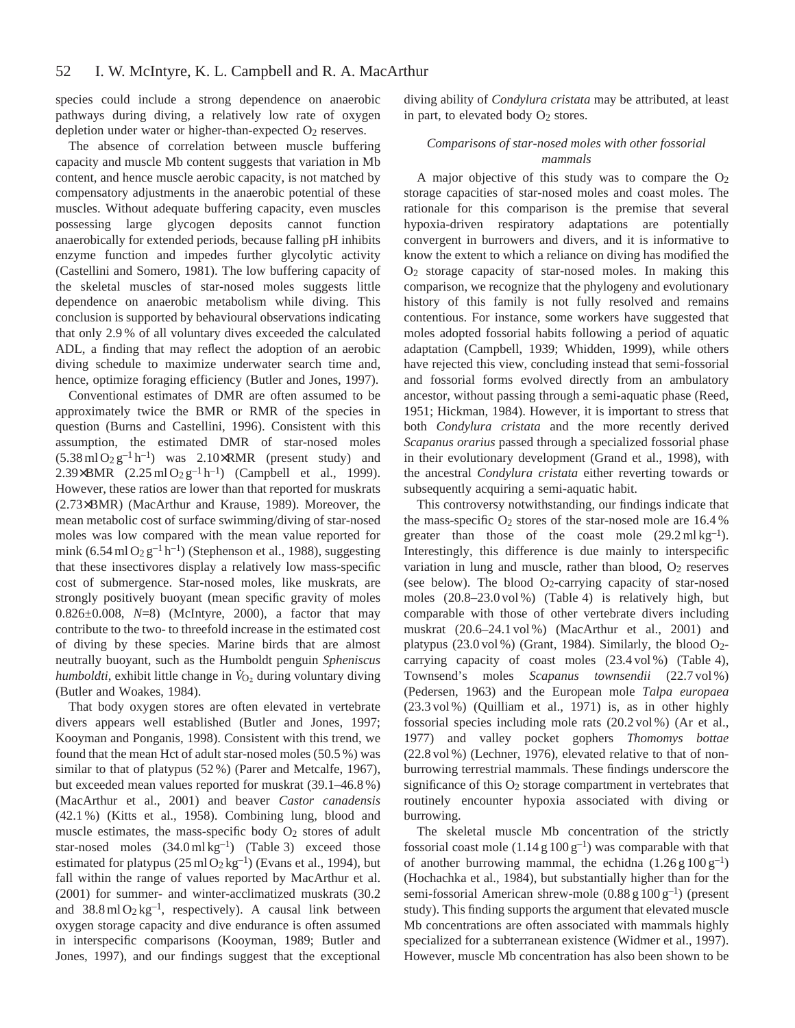species could include a strong dependence on anaerobic pathways during diving, a relatively low rate of oxygen depletion under water or higher-than-expected O<sub>2</sub> reserves.

The absence of correlation between muscle buffering capacity and muscle Mb content suggests that variation in Mb content, and hence muscle aerobic capacity, is not matched by compensatory adjustments in the anaerobic potential of these muscles. Without adequate buffering capacity, even muscles possessing large glycogen deposits cannot function anaerobically for extended periods, because falling pH inhibits enzyme function and impedes further glycolytic activity (Castellini and Somero, 1981). The low buffering capacity of the skeletal muscles of star-nosed moles suggests little dependence on anaerobic metabolism while diving. This conclusion is supported by behavioural observations indicating that only 2.9 % of all voluntary dives exceeded the calculated ADL, a finding that may reflect the adoption of an aerobic diving schedule to maximize underwater search time and, hence, optimize foraging efficiency (Butler and Jones, 1997).

Conventional estimates of DMR are often assumed to be approximately twice the BMR or RMR of the species in question (Burns and Castellini, 1996). Consistent with this assumption, the estimated DMR of star-nosed moles  $(5.38 \text{ ml } O_2 \text{ g}^{-1} \text{ h}^{-1})$  was 2.10×RMR (present study) and 2.39×BMR  $(2.25 \text{ ml } O_2 \text{ g}^{-1} \text{ h}^{-1})$  (Campbell et al., 1999). However, these ratios are lower than that reported for muskrats (2.73×BMR) (MacArthur and Krause, 1989). Moreover, the mean metabolic cost of surface swimming/diving of star-nosed moles was low compared with the mean value reported for mink (6.54 ml  $O_2$  g<sup>-1</sup> h<sup>-1</sup>) (Stephenson et al., 1988), suggesting that these insectivores display a relatively low mass-specific cost of submergence. Star-nosed moles, like muskrats, are strongly positively buoyant (mean specific gravity of moles 0.826±0.008, *N*=8) (McIntyre, 2000), a factor that may contribute to the two- to threefold increase in the estimated cost of diving by these species. Marine birds that are almost neutrally buoyant, such as the Humboldt penguin *Spheniscus* . *humboldti*, exhibit little change in  $\dot{V}_{O_2}$  during voluntary diving (Butler and Woakes, 1984).

That body oxygen stores are often elevated in vertebrate divers appears well established (Butler and Jones, 1997; Kooyman and Ponganis, 1998). Consistent with this trend, we found that the mean Hct of adult star-nosed moles (50.5 %) was similar to that of platypus (52 %) (Parer and Metcalfe, 1967), but exceeded mean values reported for muskrat (39.1–46.8 %) (MacArthur et al., 2001) and beaver *Castor canadensis* (42.1 %) (Kitts et al., 1958). Combining lung, blood and muscle estimates, the mass-specific body  $O<sub>2</sub>$  stores of adult star-nosed moles  $(34.0 \text{ ml kg}^{-1})$  (Table 3) exceed those estimated for platypus  $(25 \text{ ml } O_2 \text{ kg}^{-1})$  (Evans et al., 1994), but fall within the range of values reported by MacArthur et al. (2001) for summer- and winter-acclimatized muskrats (30.2 and  $38.8 \text{ ml} \cdot O_2 \text{ kg}^{-1}$ , respectively). A causal link between oxygen storage capacity and dive endurance is often assumed in interspecific comparisons (Kooyman, 1989; Butler and Jones, 1997), and our findings suggest that the exceptional

diving ability of *Condylura cristata* may be attributed, at least in part, to elevated body  $O<sub>2</sub>$  stores.

# *Comparisons of star-nosed moles with other fossorial mammals*

A major objective of this study was to compare the  $O<sub>2</sub>$ storage capacities of star-nosed moles and coast moles. The rationale for this comparison is the premise that several hypoxia-driven respiratory adaptations are potentially convergent in burrowers and divers, and it is informative to know the extent to which a reliance on diving has modified the O2 storage capacity of star-nosed moles. In making this comparison, we recognize that the phylogeny and evolutionary history of this family is not fully resolved and remains contentious. For instance, some workers have suggested that moles adopted fossorial habits following a period of aquatic adaptation (Campbell, 1939; Whidden, 1999), while others have rejected this view, concluding instead that semi-fossorial and fossorial forms evolved directly from an ambulatory ancestor, without passing through a semi-aquatic phase (Reed, 1951; Hickman, 1984). However, it is important to stress that both *Condylura cristata* and the more recently derived *Scapanus orarius* passed through a specialized fossorial phase in their evolutionary development (Grand et al., 1998), with the ancestral *Condylura cristata* either reverting towards or subsequently acquiring a semi-aquatic habit.

This controversy notwithstanding, our findings indicate that the mass-specific  $O_2$  stores of the star-nosed mole are 16.4% greater than those of the coast mole  $(29.2 \text{ ml kg}^{-1})$ . Interestingly, this difference is due mainly to interspecific variation in lung and muscle, rather than blood,  $O<sub>2</sub>$  reserves (see below). The blood  $O<sub>2</sub>$ -carrying capacity of star-nosed moles (20.8–23.0 vol %) (Table 4) is relatively high, but comparable with those of other vertebrate divers including muskrat (20.6–24.1 vol %) (MacArthur et al., 2001) and platypus (23.0 vol %) (Grant, 1984). Similarly, the blood  $O_2$ carrying capacity of coast moles (23.4 vol %) (Table 4), Townsend's moles *Scapanus townsendii* (22.7 vol %) (Pedersen, 1963) and the European mole *Talpa europaea* (23.3 vol %) (Quilliam et al., 1971) is, as in other highly fossorial species including mole rats (20.2 vol %) (Ar et al., 1977) and valley pocket gophers *Thomomys bottae* (22.8 vol %) (Lechner, 1976), elevated relative to that of nonburrowing terrestrial mammals. These findings underscore the significance of this O<sub>2</sub> storage compartment in vertebrates that routinely encounter hypoxia associated with diving or burrowing.

The skeletal muscle Mb concentration of the strictly fossorial coast mole  $(1.14 \text{ g } 100 \text{ g}^{-1})$  was comparable with that of another burrowing mammal, the echidna  $(1.26 \text{ g } 100 \text{ g}^{-1})$ (Hochachka et al., 1984), but substantially higher than for the semi-fossorial American shrew-mole  $(0.88 \text{ g } 100 \text{ g}^{-1})$  (present study). This finding supports the argument that elevated muscle Mb concentrations are often associated with mammals highly specialized for a subterranean existence (Widmer et al., 1997). However, muscle Mb concentration has also been shown to be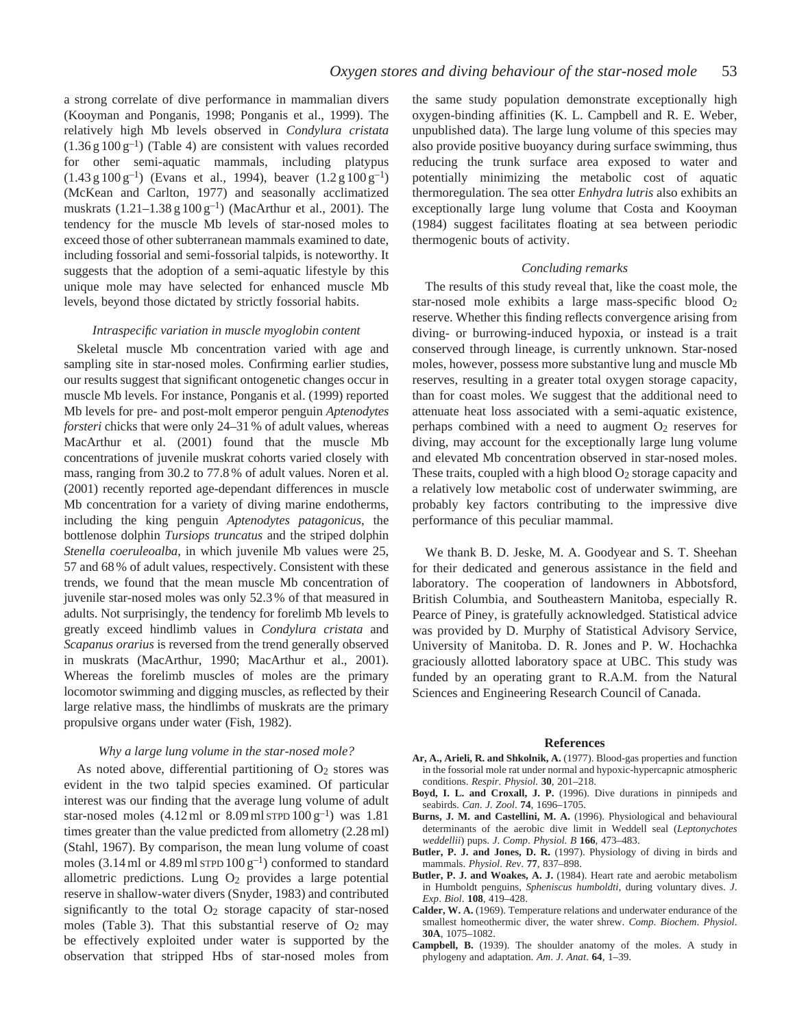a strong correlate of dive performance in mammalian divers (Kooyman and Ponganis, 1998; Ponganis et al., 1999). The relatively high Mb levels observed in *Condylura cristata*  $(1.36 \text{ g } 100 \text{ g}^{-1})$  (Table 4) are consistent with values recorded for other semi-aquatic mammals, including platypus  $(1.43 \text{ g } 100 \text{ g}^{-1})$  (Evans et al., 1994), beaver  $(1.2 \text{ g } 100 \text{ g}^{-1})$ (McKean and Carlton, 1977) and seasonally acclimatized muskrats  $(1.21-1.38 \text{ g } 100 \text{ g}^{-1})$  (MacArthur et al., 2001). The tendency for the muscle Mb levels of star-nosed moles to exceed those of other subterranean mammals examined to date, including fossorial and semi-fossorial talpids, is noteworthy. It suggests that the adoption of a semi-aquatic lifestyle by this unique mole may have selected for enhanced muscle Mb levels, beyond those dictated by strictly fossorial habits.

#### *Intraspecific variation in muscle myoglobin content*

Skeletal muscle Mb concentration varied with age and sampling site in star-nosed moles. Confirming earlier studies, our results suggest that significant ontogenetic changes occur in muscle Mb levels. For instance, Ponganis et al. (1999) reported Mb levels for pre- and post-molt emperor penguin *Aptenodytes forsteri* chicks that were only 24–31 % of adult values, whereas MacArthur et al. (2001) found that the muscle Mb concentrations of juvenile muskrat cohorts varied closely with mass, ranging from 30.2 to 77.8 % of adult values. Noren et al. (2001) recently reported age-dependant differences in muscle Mb concentration for a variety of diving marine endotherms, including the king penguin *Aptenodytes patagonicus*, the bottlenose dolphin *Tursiops truncatus* and the striped dolphin *Stenella coeruleoalba*, in which juvenile Mb values were 25, 57 and 68 % of adult values, respectively. Consistent with these trends, we found that the mean muscle Mb concentration of juvenile star-nosed moles was only 52.3 % of that measured in adults. Not surprisingly, the tendency for forelimb Mb levels to greatly exceed hindlimb values in *Condylura cristata* and *Scapanus orarius* is reversed from the trend generally observed in muskrats (MacArthur, 1990; MacArthur et al., 2001). Whereas the forelimb muscles of moles are the primary locomotor swimming and digging muscles, as reflected by their large relative mass, the hindlimbs of muskrats are the primary propulsive organs under water (Fish, 1982).

## *Why a large lung volume in the star-nosed mole?*

As noted above, differential partitioning of  $O<sub>2</sub>$  stores was evident in the two talpid species examined. Of particular interest was our finding that the average lung volume of adult star-nosed moles  $(4.12 \text{ ml or } 8.09 \text{ ml srp} \cdot 100 \text{ g}^{-1})$  was 1.81 times greater than the value predicted from allometry (2.28 ml) (Stahl, 1967). By comparison, the mean lung volume of coast moles  $(3.14 \text{ ml or } 4.89 \text{ ml srp } 100 \text{ g}^{-1})$  conformed to standard allometric predictions. Lung O2 provides a large potential reserve in shallow-water divers (Snyder, 1983) and contributed significantly to the total  $O_2$  storage capacity of star-nosed moles (Table 3). That this substantial reserve of  $O_2$  may be effectively exploited under water is supported by the observation that stripped Hbs of star-nosed moles from the same study population demonstrate exceptionally high oxygen-binding affinities (K. L. Campbell and R. E. Weber, unpublished data). The large lung volume of this species may also provide positive buoyancy during surface swimming, thus reducing the trunk surface area exposed to water and potentially minimizing the metabolic cost of aquatic thermoregulation. The sea otter *Enhydra lutris* also exhibits an exceptionally large lung volume that Costa and Kooyman (1984) suggest facilitates floating at sea between periodic thermogenic bouts of activity.

### *Concluding remarks*

The results of this study reveal that, like the coast mole, the star-nosed mole exhibits a large mass-specific blood O2 reserve. Whether this finding reflects convergence arising from diving- or burrowing-induced hypoxia, or instead is a trait conserved through lineage, is currently unknown. Star-nosed moles, however, possess more substantive lung and muscle Mb reserves, resulting in a greater total oxygen storage capacity, than for coast moles. We suggest that the additional need to attenuate heat loss associated with a semi-aquatic existence, perhaps combined with a need to augment  $O<sub>2</sub>$  reserves for diving, may account for the exceptionally large lung volume and elevated Mb concentration observed in star-nosed moles. These traits, coupled with a high blood  $O_2$  storage capacity and a relatively low metabolic cost of underwater swimming, are probably key factors contributing to the impressive dive performance of this peculiar mammal.

We thank B. D. Jeske, M. A. Goodyear and S. T. Sheehan for their dedicated and generous assistance in the field and laboratory. The cooperation of landowners in Abbotsford, British Columbia, and Southeastern Manitoba, especially R. Pearce of Piney, is gratefully acknowledged. Statistical advice was provided by D. Murphy of Statistical Advisory Service, University of Manitoba. D. R. Jones and P. W. Hochachka graciously allotted laboratory space at UBC. This study was funded by an operating grant to R.A.M. from the Natural Sciences and Engineering Research Council of Canada.

#### **References**

- **Ar, A., Arieli, R. and Shkolnik, A.** (1977). Blood-gas properties and function in the fossorial mole rat under normal and hypoxic-hypercapnic atmospheric conditions. *Respir*. *Physiol*. **30**, 201–218.
- **Boyd, I. L. and Croxall, J. P.** (1996). Dive durations in pinnipeds and seabirds. *Can*. *J*. *Zool*. **74**, 1696–1705.
- **Burns, J. M. and Castellini, M. A.** (1996). Physiological and behavioural determinants of the aerobic dive limit in Weddell seal (*Leptonychotes weddellii*) pups. *J*. *Comp*. *Physiol. B* **166**, 473–483.
- **Butler, P. J. and Jones, D. R.** (1997). Physiology of diving in birds and mammals. *Physiol*. *Rev*. **77**, 837–898.
- **Butler, P. J. and Woakes, A. J.** (1984). Heart rate and aerobic metabolism in Humboldt penguins, *Spheniscus humboldti*, during voluntary dives. *J*. *Exp*. *Biol*. **108**, 419–428.
- **Calder, W. A.** (1969). Temperature relations and underwater endurance of the smallest homeothermic diver, the water shrew. *Comp*. *Biochem*. *Physiol*. **30A**, 1075–1082.
- **Campbell, B.** (1939). The shoulder anatomy of the moles. A study in phylogeny and adaptation. *Am*. *J*. *Anat*. **64**, 1–39.